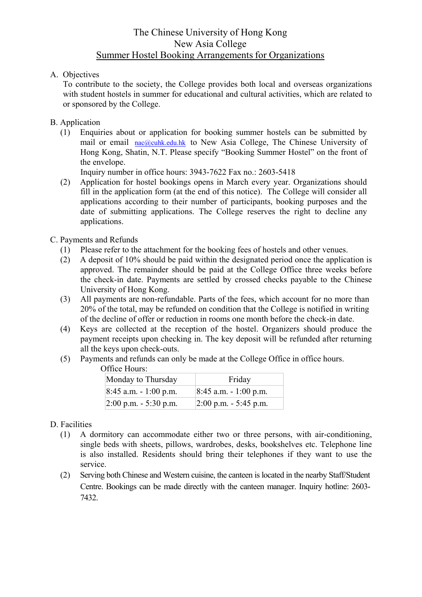## The Chinese University of Hong Kong New Asia College Summer Hostel Booking Arrangements for Organizations

## A. Objectives

To contribute to the society, the College provides both local and overseas organizations with student hostels in summer for educational and cultural activities, which are related to or sponsored by the College.

- B. Application
	- (1) Enquiries about or application for booking summer hostels can be submitted by mail or email nac@cuhk.edu.hk to New Asia College, The Chinese University of Hong Kong, Shatin, N.T. Please specify "Booking Summer Hostel" on the front of the envelope.

Inquiry number in office hours: 3943-7622 Fax no.: 2603-5418

(2) Application for hostel bookings opens in March every year. Organizations should fill in the application form (at the end of this notice). The College will consider all applications according to their number of participants, booking purposes and the date of submitting applications. The College reserves the right to decline any applications.

## C. Payments and Refunds

- (1) Please refer to the attachment for the booking fees of hostels and other venues.
- (2) A deposit of 10% should be paid within the designated period once the application is approved. The remainder should be paid at the College Office three weeks before the check-in date. Payments are settled by crossed checks payable to the Chinese University of Hong Kong.
- (3) All payments are non-refundable. Parts of the fees, which account for no more than 20% of the total, may be refunded on condition that the College is notified in writing of the decline of offer or reduction in rooms one month before the check-in date.
- (4) Keys are collected at the reception of the hostel. Organizers should produce the payment receipts upon checking in. The key deposit will be refunded after returning all the keys upon check-outs.
- (5) Payments and refunds can only be made at the College Office in office hours.

#### Office Hours:

| Monday to Thursday       | Friday                                   |
|--------------------------|------------------------------------------|
| $8:45$ a.m. $-1:00$ p.m. | $ 8:45$ a.m. - 1:00 p.m.                 |
| $2:00$ p.m. $-5:30$ p.m. | $ 2:00 \text{ p.m.} - 5:45 \text{ p.m.}$ |

### D. Facilities

- (1) A dormitory can accommodate either two or three persons, with air-conditioning, single beds with sheets, pillows, wardrobes, desks, bookshelves etc. Telephone line is also installed. Residents should bring their telephones if they want to use the service.
- (2) Serving both Chinese and Western cuisine, the canteen is located in the nearby Staff/Student Centre. Bookings can be made directly with the canteen manager. Inquiry hotline: 2603- 7432.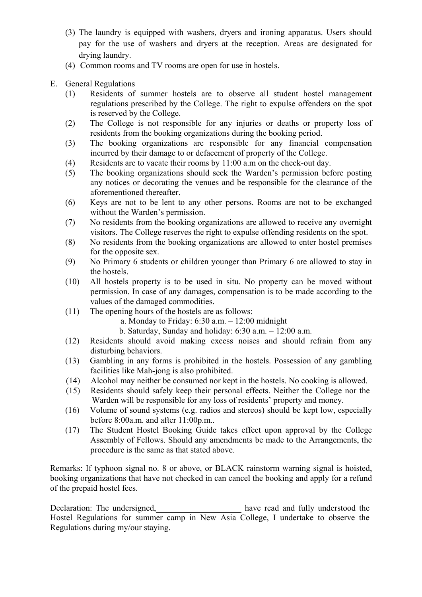- (3) The laundry is equipped with washers, dryers and ironing apparatus. Users should pay for the use of washers and dryers at the reception. Areas are designated for drying laundry.
- (4) Common rooms and TV rooms are open for use in hostels.
- E. General Regulations
	- (1) Residents of summer hostels are to observe all student hostel management regulations prescribed by the College. The right to expulse offenders on the spot is reserved by the College.
	- (2) The College is not responsible for any injuries or deaths or property loss of residents from the booking organizations during the booking period.
	- (3) The booking organizations are responsible for any financial compensation incurred by their damage to or defacement of property of the College.
	- (4) Residents are to vacate their rooms by 11:00 a.m on the check-out day.
	- (5) The booking organizations should seek the Warden's permission before posting any notices or decorating the venues and be responsible for the clearance of the aforementioned thereafter.
	- (6) Keys are not to be lent to any other persons. Rooms are not to be exchanged without the Warden's permission.
	- (7) No residents from the booking organizations are allowed to receive any overnight visitors. The College reserves the right to expulse offending residents on the spot.
	- (8) No residents from the booking organizations are allowed to enter hostel premises for the opposite sex.
	- (9) No Primary 6 students or children younger than Primary 6 are allowed to stay in the hostels.
	- (10) All hostels property is to be used in situ. No property can be moved without permission. In case of any damages, compensation is to be made according to the values of the damaged commodities.
	- (11) The opening hours of the hostels are as follows:
		- a. Monday to Friday:  $6:30$  a.m.  $-12:00$  midnight
		- b. Saturday, Sunday and holiday: 6:30 a.m. 12:00 a.m.
	- (12) Residents should avoid making excess noises and should refrain from any disturbing behaviors.
	- (13) Gambling in any forms is prohibited in the hostels. Possession of any gambling facilities like Mah-jong is also prohibited.
	- (14) Alcohol may neither be consumed nor kept in the hostels. No cooking is allowed.
	- (15) Residents should safely keep their personal effects. Neither the College nor the Warden will be responsible for any loss of residents' property and money.
	- (16) Volume of sound systems (e.g. radios and stereos) should be kept low, especially before 8:00a.m. and after 11:00p.m..
	- (17) The Student Hostel Booking Guide takes effect upon approval by the College Assembly of Fellows. Should any amendments be made to the Arrangements, the procedure is the same as that stated above.

Remarks: If typhoon signal no. 8 or above, or BLACK rainstorm warning signal is hoisted, booking organizations that have not checked in can cancel the booking and apply for a refund of the prepaid hostel fees.

Declaration: The undersigned, have read and fully understood the Hostel Regulations for summer camp in New Asia College, I undertake to observe the Regulations during my/our staying.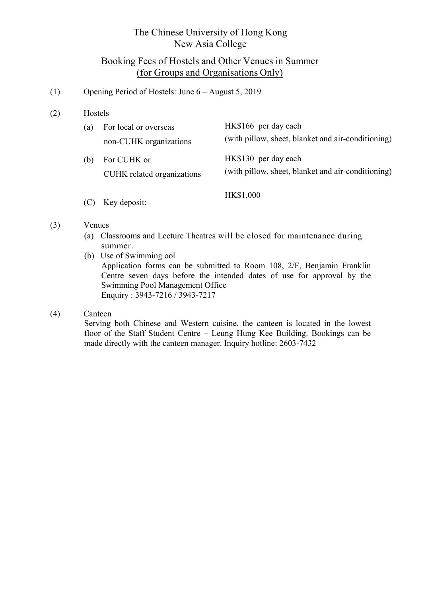# The Chinese University of Hong Kong New Asia College

# Booking Fees of Hostels and Other Venues in Summer (for Groups and Organisations Only)

## (1) Opening Period of Hostels: June 6 – August 5, 2019

(2) Hostels

| (a) | For local or overseas<br>non-CUHK organizations | HK\$166 per day each<br>(with pillow, sheet, blanket and air-conditioning) |
|-----|-------------------------------------------------|----------------------------------------------------------------------------|
| (b) | For CUHK or<br>CUHK related organizations       | HK\$130 per day each<br>(with pillow, sheet, blanket and air-conditioning) |

(C) Key deposit: HK\$1,000

#### (3) Venues

- (a) Classrooms and Lecture Theatres will be closed for maintenance during summer.
- (b) Use of Swimming ool Application forms can be submitted to Room 108, 2/F, Benjamin Franklin Centre seven days before the intended dates of use for approval by the Swimming Pool Management Office Enquiry : 3943-7216 / 3943-7217

### (4) Canteen

Serving both Chinese and Western cuisine, the canteen is located in the lowest floor of the Staff Student Centre – Leung Hung Kee Building. Bookings can be made directly with the canteen manager. Inquiry hotline: 2603-7432